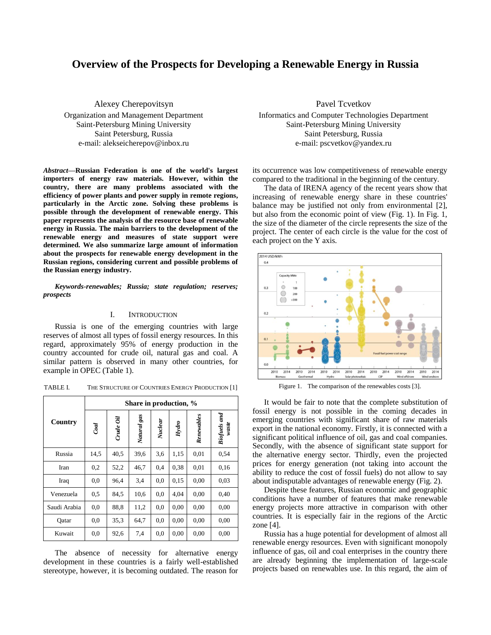# **Overview of the Prospects for Developing a Renewable Energy in Russia**

Alexey Cherepovitsyn Organization and Management Department Saint-Petersburg Mining University Saint Petersburg, Russia e-mail: alekseicherepov@inbox.ru

*Abstract***—Russian Federation is one of the world's largest importers of energy raw materials. However, within the country, there are many problems associated with the efficiency of power plants and power supply in remote regions, particularly in the Arctic zone. Solving these problems is possible through the development of renewable energy. This paper represents the analysis of the resource base of renewable energy in Russia. The main barriers to the development of the renewable energy and measures of state support were determined. We also summarize large amount of information about the prospects for renewable energy development in the Russian regions, considering current and possible problems of the Russian energy industry.**

*Keywords-renewables; Russia; state regulation; reserves; prospects*

## I. INTRODUCTION

Russia is one of the emerging countries with large reserves of almost all types of fossil energy resources. In this regard, approximately 95% of energy production in the country accounted for crude oil, natural gas and coal. A similar pattern is observed in many other countries, for example in OPEC (Table 1).

TABLE I. THE STRUCTURE OF COUNTRIES ENERGY PRODUCTION [1]

|              | Share in production, % |           |             |                |       |            |                       |
|--------------|------------------------|-----------|-------------|----------------|-------|------------|-----------------------|
| Country      | Coal                   | Crude Oil | Natural gas | <b>Nuclear</b> | Hydro | Renewables | Biofuels and<br>waste |
| Russia       | 14,5                   | 40.5      | 39,6        | 3,6            | 1,15  | 0,01       | 0,54                  |
| Iran         | 0,2                    | 52,2      | 46,7        | 0,4            | 0.38  | 0,01       | 0.16                  |
| Iraq         | 0,0                    | 96,4      | 3,4         | 0.0            | 0.15  | 0,00       | 0.03                  |
| Venezuela    | 0.5                    | 84,5      | 10,6        | 0,0            | 4,04  | 0,00       | 0,40                  |
| Saudi Arabia | 0.0                    | 88.8      | 11,2        | 0.0            | 0.00  | 0,00       | 0.00                  |
| Oatar        | 0.0                    | 35,3      | 64,7        | 0.0            | 0.00  | 0,00       | 0.00                  |
| Kuwait       | 0,0                    | 92,6      | 7,4         | 0,0            | 0.00  | 0,00       | 0,00                  |

The absence of necessity for alternative energy development in these countries is a fairly well-established stereotype, however, it is becoming outdated. The reason for

Pavel Tcvetkov Informatics and Computer Technologies Department Saint-Petersburg Mining University Saint Petersburg, Russia e-mail: pscvetkov@yandex.ru

its occurrence was low competitiveness of renewable energy compared to the traditional in the beginning of the century.

The data of IRENA agency of the recent years show that increasing of renewable energy share in these countries' balance may be justified not only from environmental [2], but also from the economic point of view (Fig. 1). In Fig. 1, the size of the diameter of the circle represents the size of the project. The center of each circle is the value for the cost of each project on the Y axis.



Figure 1. The comparison of the renewables costs [3].

It would be fair to note that the complete substitution of fossil energy is not possible in the coming decades in emerging countries with significant share of raw materials export in the national economy. Firstly, it is connected with a significant political influence of oil, gas and coal companies. Secondly, with the absence of significant state support for the alternative energy sector. Thirdly, even the projected prices for energy generation (not taking into account the ability to reduce the cost of fossil fuels) do not allow to say about indisputable advantages of renewable energy (Fig. 2).

Despite these features, Russian economic and geographic conditions have a number of features that make renewable energy projects more attractive in comparison with other countries. It is especially fair in the regions of the Arctic zone [4].

Russia has a huge potential for development of almost all renewable energy resources. Even with significant monopoly influence of gas, oil and coal enterprises in the country there are already beginning the implementation of large-scale projects based on renewables use. In this regard, the aim of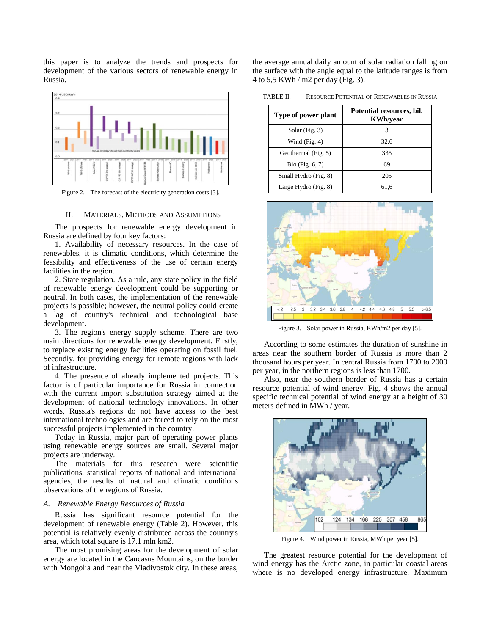this paper is to analyze the trends and prospects for development of the various sectors of renewable energy in Russia.



Figure 2. The forecast of the electricity generation costs [3].

## II. MATERIALS, METHODS AND ASSUMPTIONS

The prospects for renewable energy development in Russia are defined by four key factors:

1. Availability of necessary resources. In the case of renewables, it is climatic conditions, which determine the feasibility and effectiveness of the use of certain energy facilities in the region.

2. State regulation. As a rule, any state policy in the field of renewable energy development could be supporting or neutral. In both cases, the implementation of the renewable projects is possible; however, the neutral policy could create a lag of country's technical and technological base development.

3. The region's energy supply scheme. There are two main directions for renewable energy development. Firstly, to replace existing energy facilities operating on fossil fuel. Secondly, for providing energy for remote regions with lack of infrastructure.

4. The presence of already implemented projects. This factor is of particular importance for Russia in connection with the current import substitution strategy aimed at the development of national technology innovations. In other words, Russia's regions do not have access to the best international technologies and are forced to rely on the most successful projects implemented in the country.

Today in Russia, major part of operating power plants using renewable energy sources are small. Several major projects are underway.

The materials for this research were scientific publications, statistical reports of national and international agencies, the results of natural and climatic conditions observations of the regions of Russia.

## *A. Renewable Energy Resources of Russia*

Russia has significant resource potential for the development of renewable energy (Table 2). However, this potential is relatively evenly distributed across the country's area, which total square is 17.1 mln km2.

The most promising areas for the development of solar energy are located in the Caucasus Mountains, on the border with Mongolia and near the Vladivostok city. In these areas, the average annual daily amount of solar radiation falling on the surface with the angle equal to the latitude ranges is from 4 to 5,5 KWh / m2 per day (Fig. 3).

TABLE II. RESOURCE POTENTIAL OF RENEWABLES IN RUSSIA

| Type of power plant  | Potential resources, bil.<br><b>KWh/vear</b> |  |  |
|----------------------|----------------------------------------------|--|--|
| Solar (Fig. $3$ )    | 3                                            |  |  |
| Wind $(Fig. 4)$      | 32.6                                         |  |  |
| Geothermal (Fig. 5)  | 335                                          |  |  |
| Bio (Fig. $6, 7$ )   | 69                                           |  |  |
| Small Hydro (Fig. 8) | 205                                          |  |  |
| Large Hydro (Fig. 8) | 61.6                                         |  |  |



Figure 3. Solar power in Russia, KWh/m2 per day [5].

According to some estimates the duration of sunshine in areas near the southern border of Russia is more than 2 thousand hours per year. In central Russia from 1700 to 2000 per year, in the northern regions is less than 1700.

Also, near the southern border of Russia has a certain resource potential of wind energy. Fig. 4 shows the annual specific technical potential of wind energy at a height of 30 meters defined in MWh / year.



Figure 4. Wind power in Russia, MWh per year [5].

The greatest resource potential for the development of wind energy has the Arctic zone, in particular coastal areas where is no developed energy infrastructure. Maximum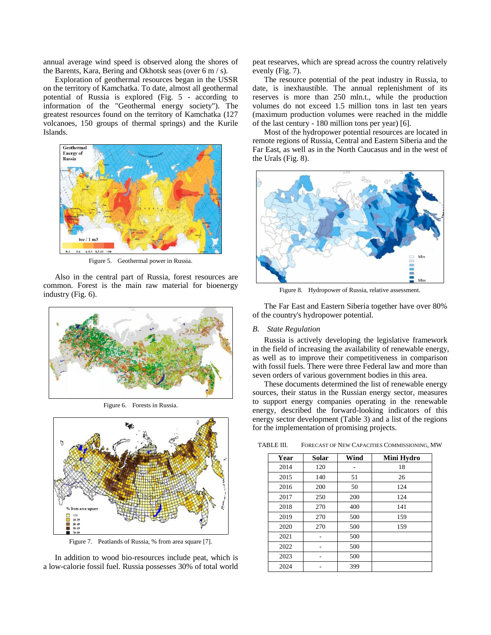annual average wind speed is observed along the shores of the Barents, Kara, Bering and Okhotsk seas (over 6 m / s).

Exploration of geothermal resources began in the USSR on the territory of Kamchatka. To date, almost all geothermal potential of Russia is explored (Fig. 5 - according to information of the "Geothermal energy society"). The greatest resources found on the territory of Kamchatka (127 volcanoes, 150 groups of thermal springs) and the Kurile Islands.



Figure 5. Geothermal power in Russia.

Also in the central part of Russia, forest resources are common. Forest is the main raw material for bioenergy industry (Fig. 6).



Figure 6. Forests in Russia.



Figure 7. Peatlands of Russia, % from area square [7].

In addition to wood bio-resources include peat, which is a low-calorie fossil fuel. Russia possesses 30% of total world peat researves, which are spread across the country relatively evenly (Fig. 7).

The resource potential of the peat industry in Russia, to date, is inexhaustible. The annual replenishment of its reserves is more than 250 mln.t., while the production volumes do not exceed 1.5 million tons in last ten years (maximum production volumes were reached in the middle of the last century - 180 million tons per year) [6].

Most of the hydropower potential resources are located in remote regions of Russia, Central and Eastern Siberia and the Far East, as well as in the North Caucasus and in the west of the Urals (Fig. 8).



Figure 8. Hydropower of Russia, relative assessment.

The Far East and Eastern Siberia together have over 80% of the country's hydropower potential.

# *B. State Regulation*

Russia is actively developing the legislative framework in the field of increasing the availability of renewable energy, as well as to improve their competitiveness in comparison with fossil fuels. There were three Federal law and more than seven orders of various government bodies in this area.

These documents determined the list of renewable energy sources, their status in the Russian energy sector, measures to support energy companies operating in the renewable energy, described the forward-looking indicators of this energy sector development (Table 3) and a list of the regions for the implementation of promising projects.

| Year | Solar | Wind | Mini Hydro |
|------|-------|------|------------|
| 2014 | 120   |      | 18         |
| 2015 | 140   | 51   | 26         |
| 2016 | 200   | 50   | 124        |
| 2017 | 250   | 200  | 124        |
| 2018 | 270   | 400  | 141        |
| 2019 | 270   | 500  | 159        |
| 2020 | 270   | 500  | 159        |
| 2021 |       | 500  |            |
| 2022 |       | 500  |            |
| 2023 |       | 500  |            |
| 2024 |       | 399  |            |

TABLE III. FORECAST OF NEW CAPACITIES COMMISSIONING, MW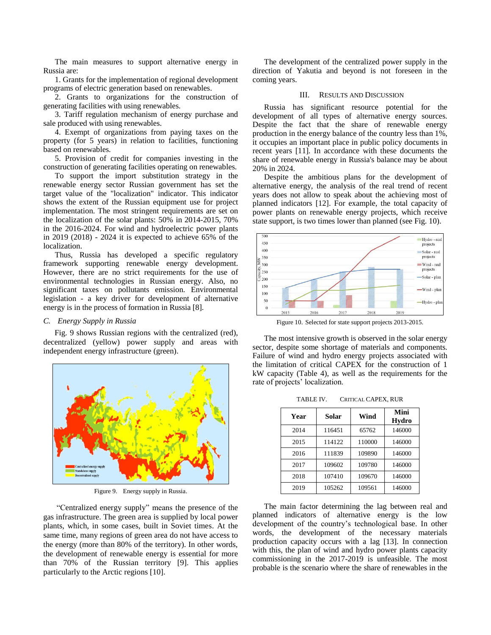The main measures to support alternative energy in Russia are:

1. Grants for the implementation of regional development programs of electric generation based on renewables.

2. Grants to organizations for the construction of generating facilities with using renewables.

3. Tariff regulation mechanism of energy purchase and sale produced with using renewables.

4. Exempt of organizations from paying taxes on the property (for 5 years) in relation to facilities, functioning based on renewables.

5. Provision of credit for companies investing in the construction of generating facilities operating on renewables.

To support the import substitution strategy in the renewable energy sector Russian government has set the target value of the "localization" indicator. This indicator shows the extent of the Russian equipment use for project implementation. The most stringent requirements are set on the localization of the solar plants: 50% in 2014-2015, 70% in the 2016-2024. For wind and hydroelectric power plants in 2019 (2018) - 2024 it is expected to achieve 65% of the localization.

Thus, Russia has developed a specific regulatory framework supporting renewable energy development. However, there are no strict requirements for the use of environmental technologies in Russian energy. Also, no significant taxes on pollutants emission. Environmental legislation - a key driver for development of alternative energy is in the process of formation in Russia [8].

## *C. Energy Supply in Russia*

Fig. 9 shows Russian regions with the centralized (red), decentralized (yellow) power supply and areas with independent energy infrastructure (green).



Figure 9. Energy supply in Russia.

"Centralized energy supply" means the presence of the gas infrastructure. The green area is supplied by local power plants, which, in some cases, built in Soviet times. At the same time, many regions of green area do not have access to the energy (more than 80% of the territory). In other words, the development of renewable energy is essential for more than 70% of the Russian territory [9]. This applies particularly to the Arctic regions [10].

The development of the centralized power supply in the direction of Yakutia and beyond is not foreseen in the coming years.

#### III. RESULTS AND DISCUSSION

Russia has significant resource potential for the development of all types of alternative energy sources. Despite the fact that the share of renewable energy production in the energy balance of the country less than 1%, it occupies an important place in public policy documents in recent years [11]. In accordance with these documents the share of renewable energy in Russia's balance may be about 20% in 2024.

Despite the ambitious plans for the development of alternative energy, the analysis of the real trend of recent years does not allow to speak about the achieving most of planned indicators [12]. For example, the total capacity of power plants on renewable energy projects, which receive state support, is two times lower than planned (see Fig. 10).



Figure 10. Selected for state support projects 2013-2015.

The most intensive growth is observed in the solar energy sector, despite some shortage of materials and components. Failure of wind and hydro energy projects associated with the limitation of critical CAPEX for the construction of 1 kW capacity (Table 4), as well as the requirements for the rate of projects' localization.

TABLE IV. CRITICAL CAPEX, RUR

| Year | Solar  | Wind   | Mini<br>Hydro |
|------|--------|--------|---------------|
| 2014 | 116451 | 65762  | 146000        |
| 2015 | 114122 | 110000 | 146000        |
| 2016 | 111839 | 109890 | 146000        |
| 2017 | 109602 | 109780 | 146000        |
| 2018 | 107410 | 109670 | 146000        |
| 2019 | 105262 | 109561 | 146000        |

The main factor determining the lag between real and planned indicators of alternative energy is the low development of the country's technological base. In other words, the development of the necessary materials production capacity occurs with a lag [13]. In connection with this, the plan of wind and hydro power plants capacity commissioning in the 2017-2019 is unfeasible. The most probable is the scenario where the share of renewables in the